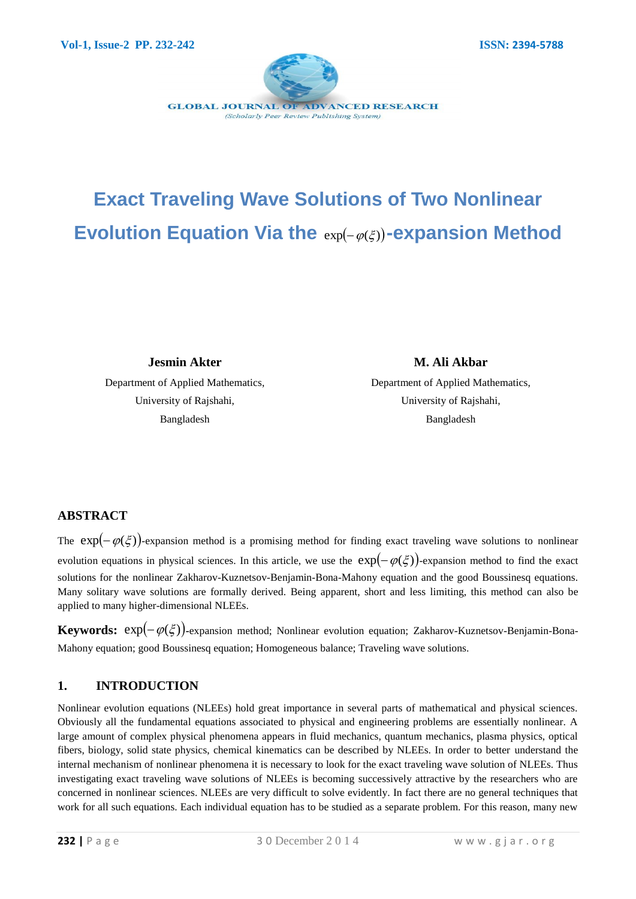

# **Exact Traveling Wave Solutions of Two Nonlinear**  Evolution Equation Via the  $exp(-\varphi(\xi))$ -expansion Method

**Jesmin Akter** 

Department of Applied Mathematics, University of Rajshahi, Bangladesh

**M. Ali Akbar** Department of Applied Mathematics, University of Rajshahi,

Bangladesh

## **ABSTRACT**

The  $exp(-\varphi(\xi))$ -expansion method is a promising method for finding exact traveling wave solutions to nonlinear evolution equations in physical sciences. In this article, we use the  $exp(-\varphi(\xi))$ -expansion method to find the exact solutions for the nonlinear Zakharov-Kuznetsov-Benjamin-Bona-Mahony equation and the good Boussinesq equations. Many solitary wave solutions are formally derived. Being apparent, short and less limiting, this method can also be applied to many higher-dimensional NLEEs.

**Keywords:**  $exp(-\varphi(\xi))$ -expansion method; Nonlinear evolution equation; Zakharov-Kuznetsov-Benjamin-Bona-Mahony equation; good Boussinesq equation; Homogeneous balance; Traveling wave solutions.

## **1. INTRODUCTION**

Nonlinear evolution equations (NLEEs) hold great importance in several parts of mathematical and physical sciences. Obviously all the fundamental equations associated to physical and engineering problems are essentially nonlinear. A large amount of complex physical phenomena appears in fluid mechanics, quantum mechanics, plasma physics, optical fibers, biology, solid state physics, chemical kinematics can be described by NLEEs. In order to better understand the internal mechanism of nonlinear phenomena it is necessary to look for the exact traveling wave solution of NLEEs. Thus investigating exact traveling wave solutions of NLEEs is becoming successively attractive by the researchers who are concerned in nonlinear sciences. NLEEs are very difficult to solve evidently. In fact there are no general techniques that work for all such equations. Each individual equation has to be studied as a separate problem. For this reason, many new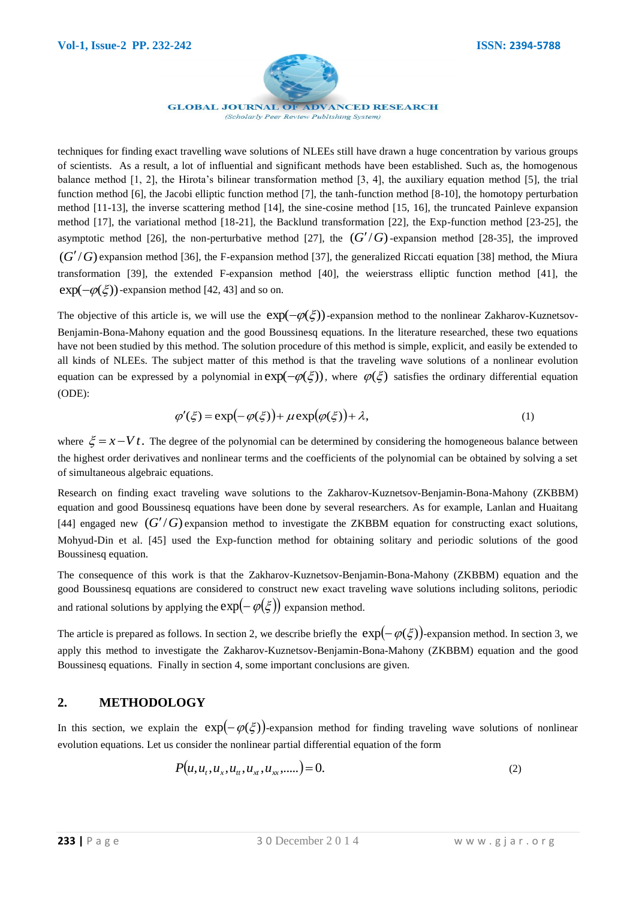

techniques for finding exact travelling wave solutions of NLEEs still have drawn a huge concentration by various groups of scientists. As a result, a lot of influential and significant methods have been established. Such as, the homogenous balance method [1, 2], the Hirota's bilinear transformation method [3, 4], the auxiliary equation method [5], the trial function method [6], the Jacobi elliptic function method [7], the tanh-function method [8-10], the homotopy perturbation method [11-13], the inverse scattering method [14], the sine-cosine method [15, 16], the truncated Painleve expansion method [17], the variational method [18-21], the Backlund transformation [22], the Exp-function method [23-25], the asymptotic method [26], the non-perturbative method [27], the  $(G'/G)$ -expansion method [28-35], the improved  $(G'/G)$  expansion method [36], the F-expansion method [37], the generalized Riccati equation [38] method, the Miura transformation [39], the extended F-expansion method [40], the weierstrass elliptic function method [41], the  $\exp(-\varphi(\xi))$ -expansion method [42, 43] and so on.

The objective of this article is, we will use the  $exp(-\varphi(\xi))$ -expansion method to the nonlinear Zakharov-Kuznetsov-Benjamin-Bona-Mahony equation and the good Boussinesq equations. In the literature researched, these two equations have not been studied by this method. The solution procedure of this method is simple, explicit, and easily be extended to all kinds of NLEEs. The subject matter of this method is that the traveling wave solutions of a nonlinear evolution equation can be expressed by a polynomial in  $exp(-\varphi(\xi))$ , where  $\varphi(\xi)$  satisfies the ordinary differential equation (ODE):

$$
\varphi'(\xi) = \exp(-\varphi(\xi)) + \mu \exp(\varphi(\xi)) + \lambda,\tag{1}
$$

where  $\xi = x - Vt$ . The degree of the polynomial can be determined by considering the homogeneous balance between the highest order derivatives and nonlinear terms and the coefficients of the polynomial can be obtained by solving a set of simultaneous algebraic equations.

Research on finding exact traveling wave solutions to the Zakharov-Kuznetsov-Benjamin-Bona-Mahony (ZKBBM) equation and good Boussinesq equations have been done by several researchers. As for example, Lanlan and Huaitang [44] engaged new  $(G'/G)$  expansion method to investigate the ZKBBM equation for constructing exact solutions, Mohyud-Din et al. [45] used the Exp-function method for obtaining solitary and periodic solutions of the good Boussinesq equation.

The consequence of this work is that the Zakharov-Kuznetsov-Benjamin-Bona-Mahony (ZKBBM) equation and the good Boussinesq equations are considered to construct new exact traveling wave solutions including solitons, periodic and rational solutions by applying the  $exp(-\varphi(\xi))$  expansion method.

The article is prepared as follows. In section 2, we describe briefly the  $exp(-\varphi(\xi))$ -expansion method. In section 3, we apply this method to investigate the Zakharov-Kuznetsov-Benjamin-Bona-Mahony (ZKBBM) equation and the good Boussinesq equations. Finally in section 4, some important conclusions are given.

## **2. METHODOLOGY**

In this section, we explain the  $exp(-\varphi(\xi))$ -expansion method for finding traveling wave solutions of nonlinear evolution equations. Let us consider the nonlinear partial differential equation of the form

$$
P(u, u_t, u_x, u_{tt}, u_{xx}, u_{xx}, \dots) = 0. \tag{2}
$$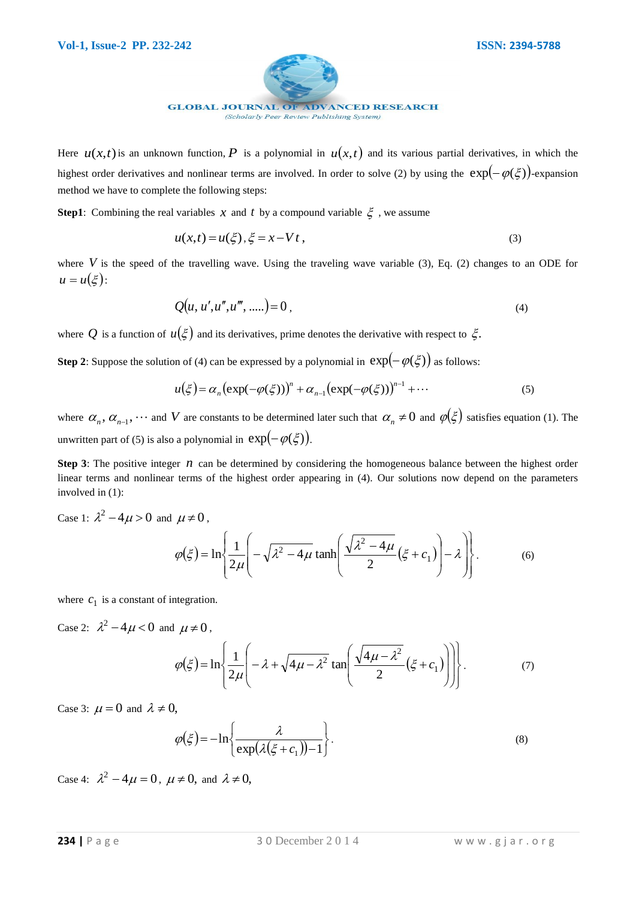

Here  $u(x,t)$  is an unknown function, P is a polynomial in  $u(x,t)$  and its various partial derivatives, in which the highest order derivatives and nonlinear terms are involved. In order to solve (2) by using the  $exp(-\varphi(\xi))$ -expansion method we have to complete the following steps:

**Step1**: Combining the real variables  $x$  and  $t$  by a compound variable  $\xi$ , we assume

$$
u(x,t) = u(\xi), \xi = x - Vt,
$$
\n(3)

where  $V$  is the speed of the travelling wave. Using the traveling wave variable  $(3)$ , Eq.  $(2)$  changes to an ODE for  $u = u(\xi)$ :

$$
Q(u, u', u'', u''', .....)=0,
$$
\n(4)

where Q is a function of  $u(\xi)$  and its derivatives, prime denotes the derivative with respect to  $\xi$ .

**Step 2**: Suppose the solution of (4) can be expressed by a polynomial in  $exp(-\varphi(\xi))$  as follows:

$$
u(\xi) = \alpha_n \big(\exp(-\varphi(\xi))\big)^n + \alpha_{n-1} \big(\exp(-\varphi(\xi))\big)^{n-1} + \cdots
$$
 (5)

where  $\alpha_n, \alpha_{n-1}, \dots$  and V are constants to be determined later such that  $\alpha_n \neq 0$  and  $\varphi(\xi)$  satisfies equation (1). The unwritten part of (5) is also a polynomial in  $exp(-\varphi(\xi))$ .

**Step 3**: The positive integer  $n$  can be determined by considering the homogeneous balance between the highest order linear terms and nonlinear terms of the highest order appearing in (4). Our solutions now depend on the parameters involved in (1):

Case 1:  $\lambda^2 - 4\mu > 0$  and  $\mu \neq 0$ ,

$$
\varphi(\xi) = \ln\left\{\frac{1}{2\mu}\left(-\sqrt{\lambda^2 - 4\mu}\tanh\left(\frac{\sqrt{\lambda^2 - 4\mu}}{2}(\xi + c_1)\right) - \lambda\right)\right\}.
$$
 (6)

where  $c_1$  is a constant of integration.

Case 2:  $\lambda^2 - 4\mu < 0$  and  $\mu \neq 0$ ,

$$
\varphi(\xi) = \ln\left\{\frac{1}{2\mu}\left(-\lambda + \sqrt{4\mu - \lambda^2} \tan\left(\frac{\sqrt{4\mu - \lambda^2}}{2}(\xi + c_1)\right)\right)\right\}.
$$
 (7)

Case 3:  $\mu = 0$  and  $\lambda \neq 0$ ,

$$
\varphi(\xi) = -\ln\left\{\frac{\lambda}{\exp(\lambda(\xi + c_1)) - 1}\right\}.
$$
\n(8)

Case 4:  $\lambda^2 - 4\mu = 0$ ,  $\mu \neq 0$ , and  $\lambda \neq 0$ ,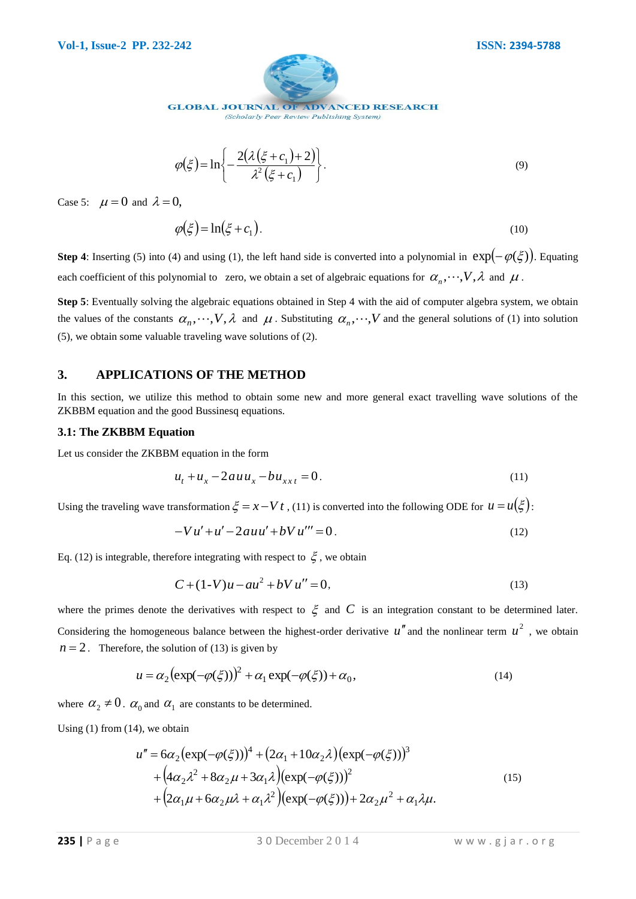

$$
\varphi(\xi) = \ln\left\{-\frac{2(\lambda(\xi + c_1) + 2)}{\lambda^2(\xi + c_1)}\right\}.
$$
\n(9)

Case 5:  $\mu = 0$  and  $\lambda = 0$ ,

$$
\varphi(\xi) = \ln(\xi + c_1). \tag{10}
$$

**Step 4**: Inserting (5) into (4) and using (1), the left hand side is converted into a polynomial in  $exp(-\varphi(\xi))$ . Equating each coefficient of this polynomial to zero, we obtain a set of algebraic equations for  $\alpha_n, \dots, V, \lambda$  and  $\mu$ .

**Step 5**: Eventually solving the algebraic equations obtained in Step 4 with the aid of computer algebra system, we obtain the values of the constants  $\alpha_n, \dots, V, \lambda$  and  $\mu$ . Substituting  $\alpha_n, \dots, V$  and the general solutions of (1) into solution (5), we obtain some valuable traveling wave solutions of (2).

#### **3. APPLICATIONS OF THE METHOD**

In this section, we utilize this method to obtain some new and more general exact travelling wave solutions of the ZKBBM equation and the good Bussinesq equations.

#### **3.1: The ZKBBM Equation**

Let us consider the ZKBBM equation in the form

$$
u_t + u_x - 2auu_x - bu_{xxt} = 0.
$$
 (11)

Using the traveling wave transformation  $\xi = x - Vt$ , (11) is converted into the following ODE for  $u = u(\xi)$ :

$$
-Vu'+u'-2auu'+bVu''' = 0.
$$
 (12)

Eq. (12) is integrable, therefore integrating with respect to  $\xi$ , we obtain

$$
C + (1-V)u - au^2 + bVu'' = 0,
$$
\n(13)

Case S:  $\mu = 0$  and  $\lambda = 0$ ,<br>  $\phi(\xi) = \ln\left(-\frac{2x\cos \xi - 1}{\lambda^2(\xi + \xi)}\right)$ . (9)<br>
Step 5:  $\mu = 0$  and  $\lambda = 0$ ,<br>  $\phi(\xi) = \ln(\xi + c_1)$ . (10)<br>
Step 5: linearing (5) and (b) and exist (f), the lab is converted into a polynomial in  $\exp$ where the primes denote the derivatives with respect to  $\xi$  and C is an integration constant to be determined later. Considering the homogeneous balance between the highest-order derivative  $u''$  and the nonlinear term  $u^2$ , we obtain  $n = 2$ . Therefore, the solution of (13) is given by

$$
u = \alpha_2 \left( \exp(-\varphi(\xi)) \right)^2 + \alpha_1 \exp(-\varphi(\xi)) + \alpha_0,
$$
\n(14)

where  $\alpha_2 \neq 0$ .  $\alpha_0$  and  $\alpha_1$  are constants to be determined.

Using  $(1)$  from  $(14)$ , we obtain

$$
u'' = 6\alpha_2 (\exp(-\varphi(\xi)))^4 + (2\alpha_1 + 10\alpha_2\lambda)(\exp(-\varphi(\xi)))^3
$$
  
+  $(4\alpha_2\lambda^2 + 8\alpha_2\mu + 3\alpha_1\lambda)(\exp(-\varphi(\xi)))^2$   
+  $(2\alpha_1\mu + 6\alpha_2\mu\lambda + \alpha_1\lambda^2)(\exp(-\varphi(\xi))) + 2\alpha_2\mu^2 + \alpha_1\lambda\mu.$  (15)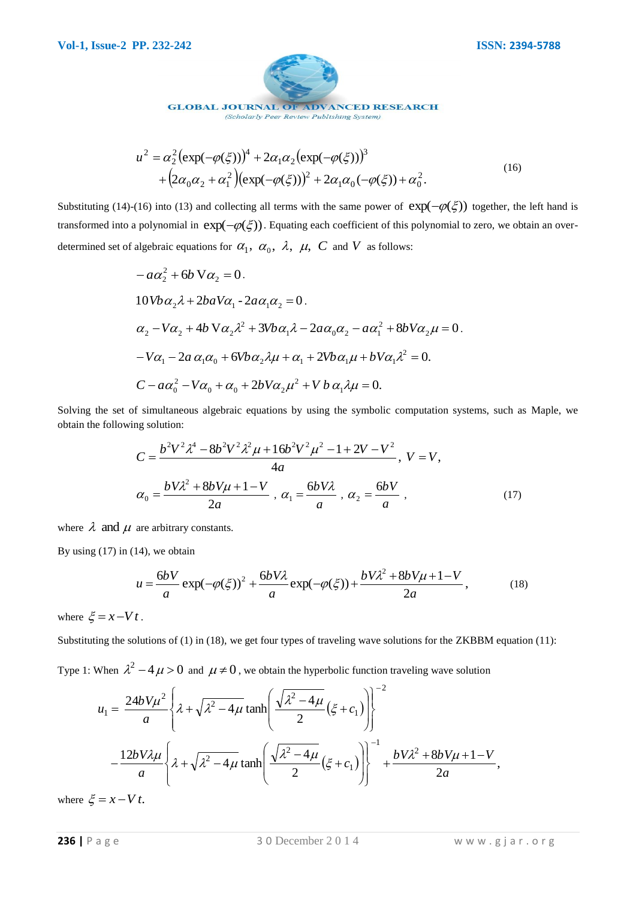**GLOBAL JOURNAL OF ADVANCED RESEARCH** 

(Scholarly Peer Review Publishing System)

$$
u^{2} = \alpha_{2}^{2} (\exp(-\varphi(\xi)))^{4} + 2\alpha_{1}\alpha_{2} (\exp(-\varphi(\xi)))^{3}
$$
  
+  $(2\alpha_{0}\alpha_{2} + \alpha_{1}^{2}) (\exp(-\varphi(\xi)))^{2} + 2\alpha_{1}\alpha_{0}(-\varphi(\xi)) + \alpha_{0}^{2}.$  (16)

Substituting (14)-(16) into (13) and collecting all terms with the same power of  $exp(-\varphi(\xi))$  together, the left hand is transformed into a polynomial in  $exp(-\varphi(\xi))$ . Equating each coefficient of this polynomial to zero, we obtain an overdetermined set of algebraic equations for  $\alpha_1$ ,  $\alpha_0$ ,  $\lambda$ ,  $\mu$ , C and V as follows:

$$
-a\alpha_2^2 + 6b\,\nabla\alpha_2 = 0.
$$
  
\n
$$
10Vb\alpha_2\lambda + 2baV\alpha_1 - 2a\alpha_1\alpha_2 = 0.
$$
  
\n
$$
\alpha_2 - V\alpha_2 + 4b\,\nabla\alpha_2\lambda^2 + 3Vb\alpha_1\lambda - 2a\alpha_0\alpha_2 - a\alpha_1^2 + 8bV\alpha_2\mu = 0.
$$
  
\n
$$
-V\alpha_1 - 2a\,\alpha_1\alpha_0 + 6Vb\alpha_2\lambda\mu + \alpha_1 + 2Vb\alpha_1\mu + bV\alpha_1\lambda^2 = 0.
$$
  
\n
$$
C - a\alpha_0^2 - V\alpha_0 + \alpha_0 + 2bV\alpha_2\mu^2 + Vb\alpha_1\lambda\mu = 0.
$$

Solving the set of simultaneous algebraic equations by using the symbolic computation systems, such as Maple, we obtain the following solution:

$$
C = \frac{b^2 V^2 \lambda^4 - 8b^2 V^2 \lambda^2 \mu + 16b^2 V^2 \mu^2 - 1 + 2V - V^2}{4a}, \quad V = V,
$$
  

$$
\alpha_0 = \frac{bV \lambda^2 + 8bV\mu + 1 - V}{2a}, \quad \alpha_1 = \frac{6bV\lambda}{a}, \quad \alpha_2 = \frac{6bV}{a}, \quad (17)
$$

where  $\lambda$  and  $\mu$  are arbitrary constants.

By using  $(17)$  in  $(14)$ , we obtain

$$
u = \frac{6bV}{a} \exp(-\varphi(\xi))^2 + \frac{6bV\lambda}{a} \exp(-\varphi(\xi)) + \frac{bV\lambda^2 + 8bV\mu + 1 - V}{2a},
$$
 (18)

where  $\xi = x - Vt$ .

Substituting the solutions of (1) in (18), we get four types of traveling wave solutions for the ZKBBM equation (11):

Type 1: When  $\lambda^2 - 4 \mu > 0$  and  $\mu \neq 0$ , we obtain the hyperbolic function traveling wave solution

$$
u^2 = \alpha_2^2 (\exp(-\varphi(\xi)))^4 + 2\alpha_1 \alpha_2 (\exp(-\varphi(\xi)))^2
$$
 (16)  
+  $(2\alpha_0 \alpha_2 + \alpha_1^2) (\exp(-\varphi(\xi)))^2 + 2\alpha_1 \alpha_0 (-\varphi(\xi)))^2$  (16)  
Substituting (14)-(16) into (13) and collecting all terms with the same power of exp(- $\varphi(\xi)$ ) together, the left is  
transformed into a polynomial in exp(- $\varphi(\xi)$ ). Equating each coefficient of this polynomial to zero, we obtain an  
determined set of algebraic equations for α<sub>1</sub>, α<sub>0</sub>, λ, μ, C and V as follows:  

$$
-a\alpha_2^2 + 6b \text{ V}\alpha_2 = 0.
$$
  
10Vbα<sub>2</sub>λ + 2bαVα<sub>1</sub> - 2aα, α<sub>2</sub> = 0.  
10Vbα<sub>2</sub>λ + 2bαVα<sub>1</sub> - 2aα, α<sub>2</sub> = 0.  
α<sub>2</sub> - Vα<sub>2</sub> + 4b Vα<sub>2</sub>λ<sup>2</sup> + 3Vbα<sub>1</sub>λ – 2aα<sub>0</sub>α<sub>2</sub> - aα<sub>1</sub><sup>2</sup> + 8bVα<sub>2</sub>μ<sup>2</sup> = 0.  
–
$$
-V\alpha_1 - 2a\alpha_1\alpha_0 + 6Vb\alpha_2\lambda\mu + \alpha_1 + 2Vb\alpha_1\mu + bV\alpha_1\lambda^2 = 0.
$$
Solying the set of simultaneous algebraic equations by using the symbolic computation systems, such as Maple  
obtain the following solution:  

$$
C = \frac{b^2V^2^2 + 8b^2V^2\lambda^2\mu + 16b^2V^2\mu^2 - 1 + 2V - V^2}{4a}, V = V,
$$
  

$$
\alpha_0 = \frac{bV\lambda^2 + 8bV\mu + 1 - V}{2a}, \alpha_1 = \frac{6bV\lambda}{a}, \alpha_2 = \frac{6bV}{a},
$$
 (17)  
where λ and μ are arbitrary constants.  
By using (17) in (14), we obtain  

$$
u = \frac{6bV}{a} \exp(-\varphi(\
$$

where  $\xi = x - Vt$ .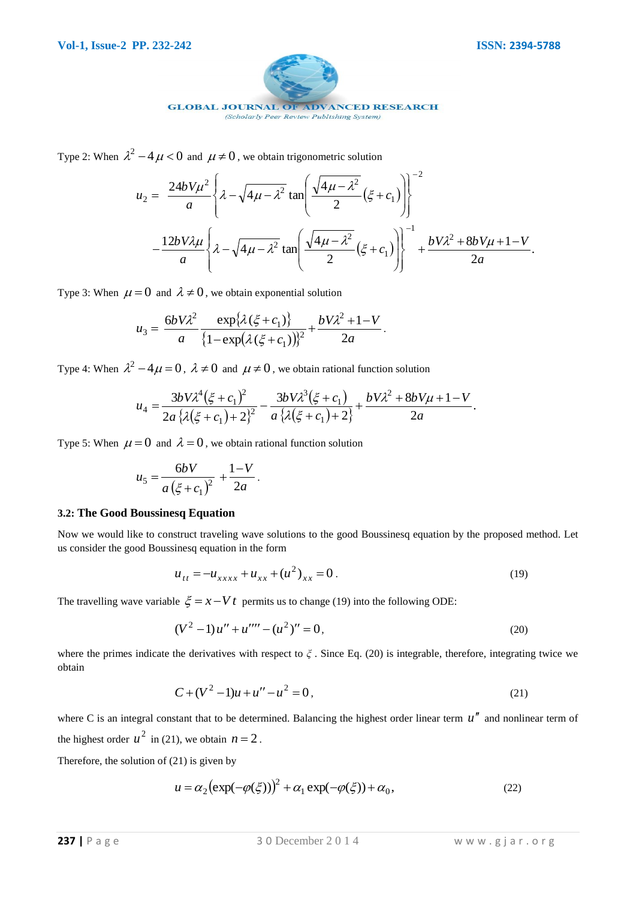

Type 2: When  $\lambda^2 - 4\mu < 0$  and  $\mu \neq 0$ , we obtain trigonometric solution

$$
-4 \mu < 0 \text{ and } \mu \neq 0, \text{ we obtain trigonometric solution}
$$
  

$$
u_2 = \frac{24bV\mu^2}{a} \left\{ \lambda - \sqrt{4\mu - \lambda^2} \tan \left( \frac{\sqrt{4\mu - \lambda^2}}{2} (\xi + c_1) \right) \right\}^{-2}
$$

$$
-\frac{12bV\lambda\mu}{a} \left\{ \lambda - \sqrt{4\mu - \lambda^2} \tan \left( \frac{\sqrt{4\mu - \lambda^2}}{2} (\xi + c_1) \right) \right\}^{-1} + \frac{bV\lambda^2 + 8bV\mu + 1 - V}{2a}.
$$

Type 3: When  $\mu = 0$  and  $\lambda \neq 0$ , we obtain exponential solution

$$
u_3 = \frac{6bV\lambda^2}{a} \frac{\exp{\{\lambda(\xi + c_1)\}}}{\{1 - \exp{\lambda(\xi + c_1)}\}^2} + \frac{bV\lambda^2 + 1 - V}{2a}.
$$

Type 4: When  $\lambda^2 - 4\mu = 0$ ,  $\lambda \neq 0$  and  $\mu \neq 0$ , we obtain rational function solution

$$
u_4 = \frac{3bV\lambda^4(\xi + c_1)^2}{2a\{\lambda(\xi + c_1) + 2\}^2} - \frac{3bV\lambda^3(\xi + c_1)}{a\{\lambda(\xi + c_1) + 2\}} + \frac{bV\lambda^2 + 8bV\mu + 1 - V}{2a}.
$$

Type 5: When  $\mu = 0$  and  $\lambda = 0$ , we obtain rational function solution

$$
u_5 = \frac{6bV}{a(\xi + c_1)^2} + \frac{1-V}{2a}.
$$

#### **3.2: The Good Boussinesq Equation**

Now we would like to construct traveling wave solutions to the good Boussinesq equation by the proposed method. Let us consider the good Boussinesq equation in the form

$$
u_{tt} = -u_{xxxx} + u_{xx} + (u^2)_{xx} = 0.
$$
 (19)

The travelling wave variable  $\xi = x - Vt$  permits us to change (19) into the following ODE:

$$
(V2 - 1)u'' + u''' - (u2)'' = 0,
$$
\n(20)

where the primes indicate the derivatives with respect to  $\zeta$ . Since Eq. (20) is integrable, therefore, integrating twice we obtain

$$
C + (V^2 - 1)u + u'' - u^2 = 0,
$$
\n(21)

where C is an integral constant that to be determined. Balancing the highest order linear term  $u''$  and nonlinear term of the highest order  $u^2$  in (21), we obtain  $n = 2$ .

Therefore, the solution of (21) is given by

$$
u = \alpha_2 \left( \exp(-\varphi(\xi)) \right)^2 + \alpha_1 \exp(-\varphi(\xi)) + \alpha_0, \tag{22}
$$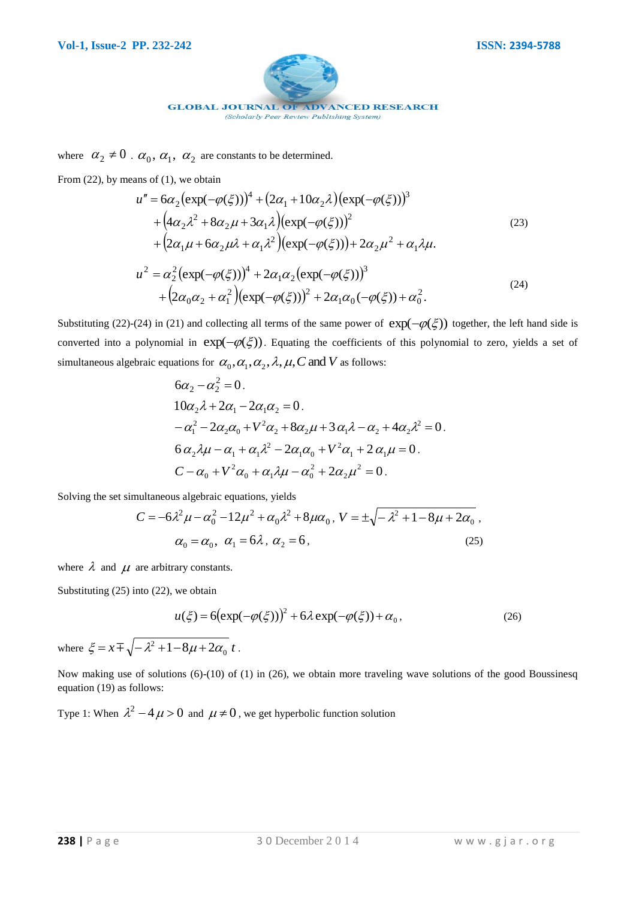

where  $\alpha_2 \neq 0$ .  $\alpha_0$ ,  $\alpha_1$ ,  $\alpha_2$  are constants to be determined.

From  $(22)$ , by means of  $(1)$ , we obtain

$$
u'' = 6\alpha_2 (\exp(-\varphi(\xi)))^4 + (2\alpha_1 + 10\alpha_2 \lambda) (\exp(-\varphi(\xi)))^3 + (4\alpha_2 \lambda^2 + 8\alpha_2 \mu + 3\alpha_1 \lambda) (\exp(-\varphi(\xi)))^2 + (2\alpha_1 \mu + 6\alpha_2 \mu \lambda + \alpha_1 \lambda^2) (\exp(-\varphi(\xi))) + 2\alpha_2 \mu^2 + \alpha_1 \lambda \mu.
$$
  

$$
u^2 = \alpha_2^2 (\exp(-\varphi(\xi)))^4 + 2\alpha_1 \alpha_2 (\exp(-\varphi(\xi)))^3 + (2\alpha_0 \alpha_2 + \alpha_1^2) (\exp(-\varphi(\xi)))^2 + 2\alpha_1 \alpha_0 (-\varphi(\xi)) + \alpha_0^2.
$$
 (24)

Substituting (22)-(24) in (21) and collecting all terms of the same power of  $exp(-\varphi(\xi))$  together, the left hand side is converted into a polynomial in  $exp(-\varphi(\xi))$ . Equating the coefficients of this polynomial to zero, yields a set of simultaneous algebraic equations for  $\alpha_0, \alpha_1, \alpha_2, \lambda, \mu, C$  and *V* as follows:

$$
6\alpha_2 - \alpha_2^2 = 0.
$$
  
\n
$$
10\alpha_2 \lambda + 2\alpha_1 - 2\alpha_1 \alpha_2 = 0.
$$
  
\n
$$
-\alpha_1^2 - 2\alpha_2 \alpha_0 + V^2 \alpha_2 + 8\alpha_2 \mu + 3 \alpha_1 \lambda - \alpha_2 + 4\alpha_2 \lambda^2 = 0.
$$
  
\n
$$
6\alpha_2 \lambda \mu - \alpha_1 + \alpha_1 \lambda^2 - 2\alpha_1 \alpha_0 + V^2 \alpha_1 + 2 \alpha_1 \mu = 0.
$$
  
\n
$$
C - \alpha_0 + V^2 \alpha_0 + \alpha_1 \lambda \mu - \alpha_0^2 + 2\alpha_2 \mu^2 = 0.
$$

Solving the set simultaneous algebraic equations, yields

$$
C = -6\lambda^2 \mu - \alpha_0^2 - 12\mu^2 + \alpha_0 \lambda^2 + 8\mu \alpha_0, \quad V = \pm \sqrt{-\lambda^2 + 1 - 8\mu + 2\alpha_0},
$$
  

$$
\alpha_0 = \alpha_0, \quad \alpha_1 = 6\lambda, \quad \alpha_2 = 6,
$$
 (25)

where  $\lambda$  and  $\mu$  are arbitrary constants.

Substituting (25) into (22), we obtain

$$
u(\xi) = 6(\exp(-\varphi(\xi)))^2 + 6\lambda \exp(-\varphi(\xi)) + \alpha_0,
$$
\n(26)

where  $\xi = x \pm \sqrt{-\lambda^2 + 1 - 8\mu + 2\alpha_0 t}$  $\xi = x \mp \sqrt{-\lambda^2 + 1 - 8\mu + 2\alpha_0 t}$ .

Now making use of solutions (6)-(10) of (1) in (26), we obtain more traveling wave solutions of the good Boussinesq equation (19) as follows:

Type 1: When  $\lambda^2 - 4\mu > 0$  and  $\mu \neq 0$ , we get hyperbolic function solution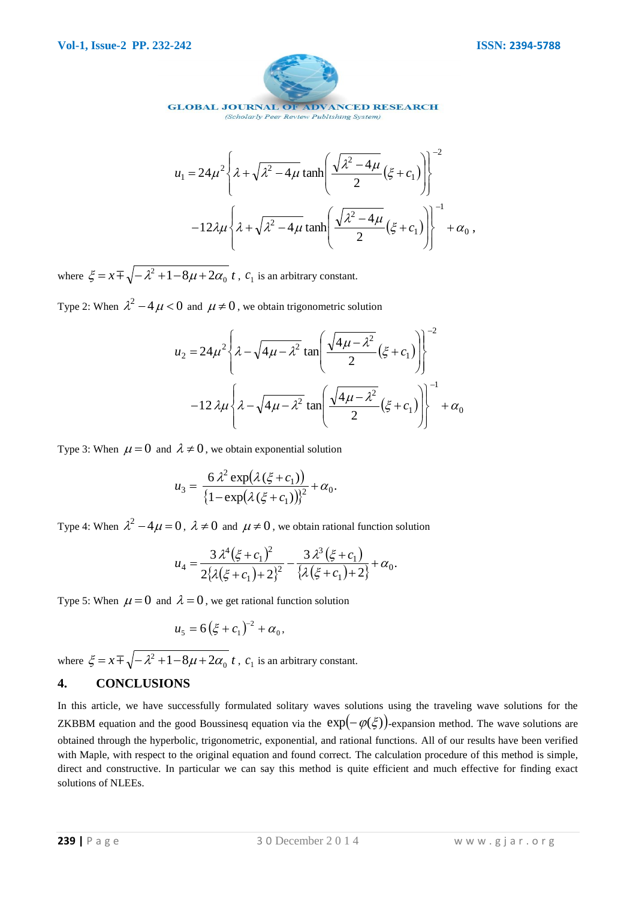

**GLOBAL JOURNAL OF ADVANCED RESEARCH** (Scholarly Peer Review Publishing System)

$$
u_1 = 24\mu^2 \left\{ \lambda + \sqrt{\lambda^2 - 4\mu} \tanh\left(\frac{\sqrt{\lambda^2 - 4\mu}}{2} (\xi + c_1)\right) \right\}^{-2}
$$

$$
-12\lambda\mu \left\{ \lambda + \sqrt{\lambda^2 - 4\mu} \tanh\left(\frac{\sqrt{\lambda^2 - 4\mu}}{2} (\xi + c_1)\right) \right\}^{-1} + \alpha_0,
$$

where  $\xi = x \pm \sqrt{-\lambda^2 + 1 - 8\mu + 2\alpha_0 t}$  $\zeta = x \pm \sqrt{-\lambda^2 + 1 - 8\mu + 2\alpha_0 t}$ ,  $c_1$  is an arbitrary constant.

Type 2: When  $\lambda^2 - 4\mu < 0$  and  $\mu \neq 0$ , we obtain trigonometric solution

$$
u_2 = 24\mu^2 \left\{ \lambda - \sqrt{4\mu - \lambda^2} \tan \left( \frac{\sqrt{4\mu - \lambda^2}}{2} (\xi + c_1) \right) \right\}^{-2}
$$

$$
-12\lambda \mu \left\{ \lambda - \sqrt{4\mu - \lambda^2} \tan \left( \frac{\sqrt{4\mu - \lambda^2}}{2} (\xi + c_1) \right) \right\}^{-1} + \alpha_0
$$

Type 3: When  $\mu = 0$  and  $\lambda \neq 0$ , we obtain exponential solution

$$
u_3 = \frac{6\lambda^2 \exp(\lambda(\xi + c_1))}{\left\{1 - \exp(\lambda(\xi + c_1))\right\}^2} + \alpha_0.
$$

Type 4: When  $\lambda^2 - 4\mu = 0$ ,  $\lambda \neq 0$  and  $\mu \neq 0$ , we obtain rational function solution

$$
u_4 = \frac{3\lambda^4(\xi + c_1)^2}{2\{\lambda(\xi + c_1) + 2\}^2} - \frac{3\lambda^3(\xi + c_1)}{\{\lambda(\xi + c_1) + 2\}} + \alpha_0.
$$

Type 5: When  $\mu = 0$  and  $\lambda = 0$ , we get rational function solution

$$
u_5 = 6(\xi + c_1)^{-2} + \alpha_0,
$$

where  $\xi = x \pm \sqrt{-\lambda^2 + 1 - 8\mu + 2\alpha_0 t}$  $\zeta = x \pm \sqrt{-\lambda^2 + 1 - 8\mu + 2\alpha_0 t}$ , c<sub>1</sub> is an arbitrary constant.

## **4. CONCLUSIONS**

 $u_1 = 24\mu'^2 \left\{ \lambda + \sqrt{\lambda^2 - 4\mu} \tanh\left[\frac{\lambda'^2 - 2\mu}{2}(\xi + c_1)\right] \right\}$ <br>  $-12\lambda\mu \left\{ \lambda + \sqrt{\lambda^2 - 4\mu} \tanh\left[\frac{\sqrt{\lambda^2 - 4\mu}}{2}(\xi + c_1)\right] \right\}^{-4} + \mu_0,$ <br>
where  $\xi = \lambda + \sqrt{-\lambda^2 + 1 - 8\mu + 2\alpha_0 t}$ ,  $c_1$  is an arbitrary constant.<br>
Type 2: In this article, we have successfully formulated solitary waves solutions using the traveling wave solutions for the ZKBBM equation and the good Boussinesq equation via the  $exp(-\varphi(\xi))$ -expansion method. The wave solutions are obtained through the hyperbolic, trigonometric, exponential, and rational functions. All of our results have been verified with Maple, with respect to the original equation and found correct. The calculation procedure of this method is simple, direct and constructive. In particular we can say this method is quite efficient and much effective for finding exact solutions of NLEEs.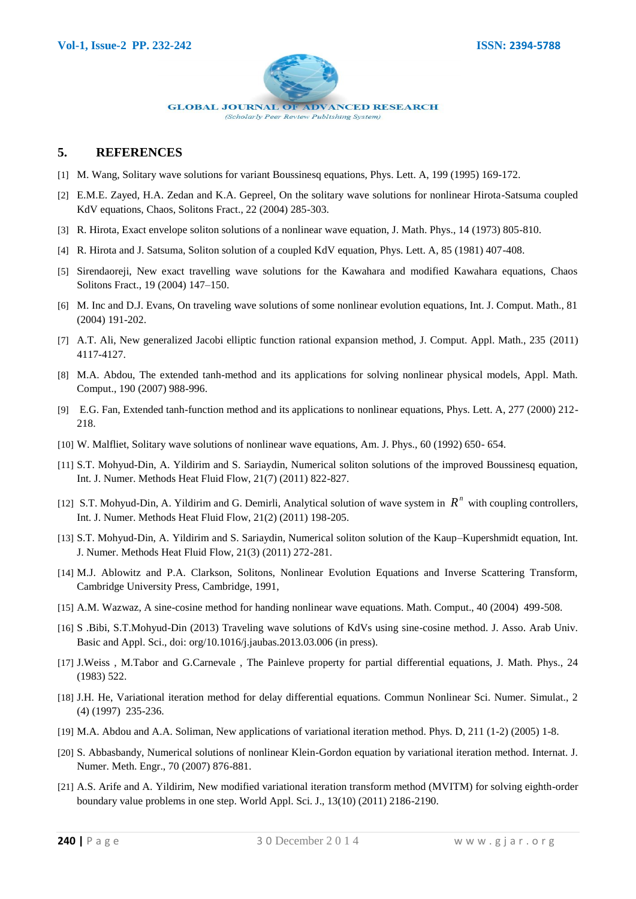

#### **5. REFERENCES**

- [1] M. Wang, Solitary wave solutions for variant Boussinesq equations, Phys. Lett. A, 199 (1995) 169-172.
- [2] E.M.E. Zayed, H.A. Zedan and K.A. Gepreel, On the solitary wave solutions for nonlinear Hirota-Satsuma coupled KdV equations, Chaos, Solitons Fract., 22 (2004) 285-303.
- [3] R. Hirota, Exact envelope soliton solutions of a nonlinear wave equation, J. Math. Phys., 14 (1973) 805-810.
- [4] R. Hirota and J. Satsuma, Soliton solution of a coupled KdV equation, Phys. Lett. A, 85 (1981) 407-408.
- [5] Sirendaoreji, New exact travelling wave solutions for the Kawahara and modified Kawahara equations, Chaos Solitons Fract., 19 (2004) 147–150.
- [6] M. Inc and D.J. Evans, On traveling wave solutions of some nonlinear evolution equations, Int. J. Comput. Math., 81 (2004) 191-202.
- [7] A.T. Ali, New generalized Jacobi elliptic function rational expansion method, J. Comput. Appl. Math., 235 (2011) 4117-4127.
- [8] M.A. Abdou, The extended tanh-method and its applications for solving nonlinear physical models, Appl. Math. Comput., 190 (2007) 988-996.
- [9] E.G. Fan, Extended tanh-function method and its applications to nonlinear equations, Phys. Lett. A, 277 (2000) 212- 218.
- [10] W. Malfliet, Solitary wave solutions of nonlinear wave equations, Am. J. Phys., 60 (1992) 650- 654.
- [11] S.T. Mohyud-Din, A. Yildirim and S. Sariaydin, Numerical soliton solutions of the improved Boussinesq equation, Int. J. Numer. Methods Heat Fluid Flow, 21(7) (2011) 822-827.
- [12] S.T. Mohyud-Din, A. Yildirim and G. Demirli, Analytical solution of wave system in  $R^n$  with coupling controllers, Int. J. Numer. Methods Heat Fluid Flow, 21(2) (2011) 198-205.
- [13] S.T. Mohyud-Din, A. Yildirim and S. Sariaydin, Numerical soliton solution of the Kaup–Kupershmidt equation, Int. J. Numer. Methods Heat Fluid Flow, 21(3) (2011) 272-281.
- [14] M.J. Ablowitz and P.A. Clarkson, Solitons, Nonlinear Evolution Equations and Inverse Scattering Transform, Cambridge University Press, Cambridge, 1991,
- [15] A.M. Wazwaz, A sine-cosine method for handing nonlinear wave equations. Math. Comput., 40 (2004) 499-508.
- [16] S .Bibi, S.T.Mohyud-Din (2013) Traveling wave solutions of KdVs using sine-cosine method. J. Asso. Arab Univ. Basic and Appl. Sci., doi: org/10.1016/j.jaubas.2013.03.006 (in press).
- [17] J.Weiss , M.Tabor and G.Carnevale , The Painleve property for partial differential equations, J. Math. Phys., 24 (1983) 522.
- [18] J.H. He, Variational iteration method for delay differential equations. Commun Nonlinear Sci. Numer. Simulat., 2 (4) (1997) 235-236.
- [19] M.A. Abdou and A.A. Soliman, New applications of variational iteration method. Phys. D, 211 (1-2) (2005) 1-8.
- [20] S. Abbasbandy, Numerical solutions of nonlinear Klein-Gordon equation by variational iteration method. Internat. J. Numer. Meth. Engr., 70 (2007) 876-881.
- [21] A.S. Arife and A. Yildirim, New modified variational iteration transform method (MVITM) for solving eighth-order boundary value problems in one step. World Appl. Sci. J., 13(10) (2011) 2186-2190.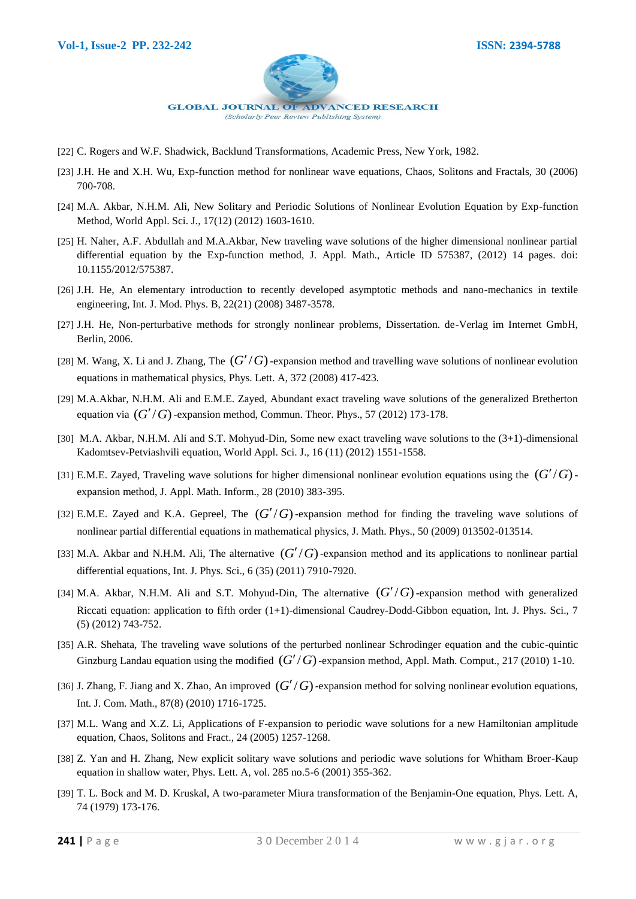

- [22] C. Rogers and W.F. Shadwick, Backlund Transformations, Academic Press, New York, 1982.
- [23] J.H. He and X.H. Wu, Exp-function method for nonlinear wave equations, Chaos, Solitons and Fractals, 30 (2006) 700-708.
- [24] M.A. Akbar, N.H.M. Ali, New Solitary and Periodic Solutions of Nonlinear Evolution Equation by Exp-function Method, World Appl. Sci. J., 17(12) (2012) 1603-1610.
- [25] H. Naher, A.F. Abdullah and M.A.Akbar, New traveling wave solutions of the higher dimensional nonlinear partial differential equation by the Exp-function method, J. Appl. Math., Article ID 575387, (2012) 14 pages. doi: 10.1155/2012/575387.
- [26] J.H. He, An elementary introduction to recently developed asymptotic methods and nano-mechanics in textile engineering, Int. J. Mod. Phys. B, 22(21) (2008) 3487-3578.
- [27] J.H. He, Non-perturbative methods for strongly nonlinear problems, Dissertation. de-Verlag im Internet GmbH, Berlin, 2006.
- [28] M. Wang, X. Li and J. Zhang, The  $(G'/G)$ -expansion method and travelling wave solutions of nonlinear evolution equations in mathematical physics, Phys. Lett. A, 372 (2008) 417-423.
- [29] M.A.Akbar, N.H.M. Ali and E.M.E. Zayed, Abundant exact traveling wave solutions of the generalized Bretherton equation via  $(G'/G)$ -expansion method, Commun. Theor. Phys., 57 (2012) 173-178.
- [30] M.A. Akbar, N.H.M. Ali and S.T. Mohyud-Din, Some new exact traveling wave solutions to the (3+1)-dimensional Kadomtsev-Petviashvili equation, World Appl. Sci. J., 16 (11) (2012) 1551-1558.
- [31] E.M.E. Zayed, Traveling wave solutions for higher dimensional nonlinear evolution equations using the  $(G'/G)$ expansion method, J. Appl. Math. Inform., 28 (2010) 383-395.
- [32] E.M.E. Zayed and K.A. Gepreel, The  $(G'/G)$ -expansion method for finding the traveling wave solutions of nonlinear partial differential equations in mathematical physics, J. Math. Phys., 50 (2009) 013502-013514.
- [33] M.A. Akbar and N.H.M. Ali, The alternative  $(G'/G)$ -expansion method and its applications to nonlinear partial differential equations, Int. J. Phys. Sci., 6 (35) (2011) 7910-7920.
- [34] M.A. Akbar, N.H.M. Ali and S.T. Mohyud-Din, The alternative  $(G'/G)$ -expansion method with generalized Riccati equation: application to fifth order (1+1)-dimensional Caudrey-Dodd-Gibbon equation, Int. J. Phys. Sci., 7 (5) (2012) 743-752.
- [35] A.R. Shehata, The traveling wave solutions of the perturbed nonlinear Schrodinger equation and the cubic-quintic Ginzburg Landau equation using the modified  $(G'/G)$ -expansion method, Appl. Math. Comput., 217 (2010) 1-10.
- [36] J. Zhang, F. Jiang and X. Zhao, An improved  $(G'/G)$ -expansion method for solving nonlinear evolution equations, Int. J. Com. Math., 87(8) (2010) 1716-1725.
- [37] M.L. Wang and X.Z. Li, Applications of F-expansion to periodic wave solutions for a new Hamiltonian amplitude equation, Chaos, Solitons and Fract., 24 (2005) 1257-1268.
- [38] Z. Yan and H. Zhang, New explicit solitary wave solutions and periodic wave solutions for Whitham Broer-Kaup equation in shallow water, Phys. Lett. A, vol. 285 no.5-6 (2001) 355-362.
- [39] T. L. Bock and M. D. Kruskal, A two-parameter Miura transformation of the Benjamin-One equation, Phys. Lett. A, 74 (1979) 173-176.